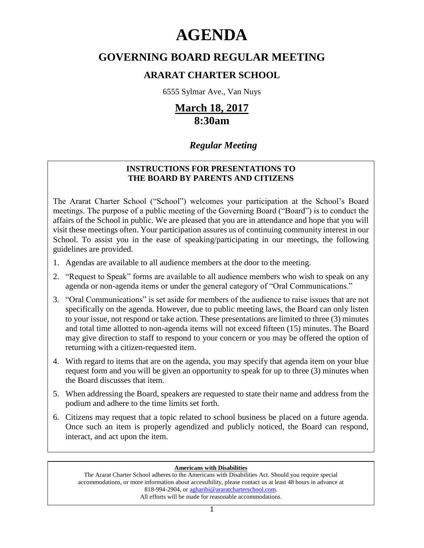# **AGENDA**

## **GOVERNING BOARD REGULAR MEETING**

### **ARARAT CHARTER SCHOOL**

6555 Sylmar Ave., Van Nuys

# **March 18, 2017 8:30am**

### *Regular Meeting*

#### **INSTRUCTIONS FOR PRESENTATIONS TO THE BOARD BY PARENTS AND CITIZENS**

The Ararat Charter School ("School") welcomes your participation at the School's Board meetings. The purpose of a public meeting of the Governing Board ("Board") is to conduct the affairs of the School in public. We are pleased that you are in attendance and hope that you will visit these meetings often. Your participation assures us of continuing community interest in our School. To assist you in the ease of speaking/participating in our meetings, the following guidelines are provided.

- 1. Agendas are available to all audience members at the door to the meeting.
- 2. "Request to Speak" forms are available to all audience members who wish to speak on any agenda or non-agenda items or under the general category of "Oral Communications."
- 3. "Oral Communications" is set aside for members of the audience to raise issues that are not specifically on the agenda. However, due to public meeting laws, the Board can only listen to your issue, not respond or take action. These presentations are limited to three (3) minutes and total time allotted to non-agenda items will not exceed fifteen (15) minutes. The Board may give direction to staff to respond to your concern or you may be offered the option of returning with a citizen-requested item.
- 4. With regard to items that are on the agenda, you may specify that agenda item on your blue request form and you will be given an opportunity to speak for up to three (3) minutes when the Board discusses that item.
- 5. When addressing the Board, speakers are requested to state their name and address from the podium and adhere to the time limits set forth.
- 6. Citizens may request that a topic related to school business be placed on a future agenda. Once such an item is properly agendized and publicly noticed, the Board can respond, interact, and act upon the item.

#### **Americans with Disabilities**

The Ararat Charter School adheres to the Americans with Disabilities Act. Should you require special accommodations, or more information about accessibility, please contact us at least 48 hours in advance at 818-994-2904, or agharibi@araratcharterschool.com. All efforts will be made for reasonable accommodations.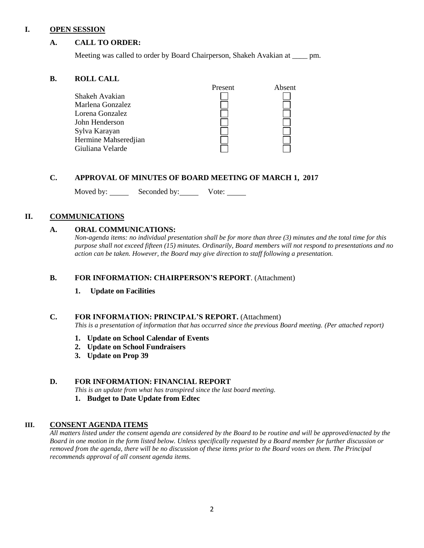#### **I. OPEN SESSION**

#### **A. CALL TO ORDER:**

Meeting was called to order by Board Chairperson, Shakeh Avakian at \_\_\_\_ pm.

#### **B. ROLL CALL**

|                      | Present | Absent |
|----------------------|---------|--------|
|                      |         |        |
| Shakeh Avakian       |         |        |
| Marlena Gonzalez     |         |        |
| Lorena Gonzalez      |         |        |
| John Henderson       |         |        |
| Sylva Karayan        |         |        |
| Hermine Mahseredjian |         |        |
| Giuliana Velarde     |         |        |

#### **C. APPROVAL OF MINUTES OF BOARD MEETING OF MARCH 1, 2017**

Moved by: Seconded by: Vote: Vote:

#### **II. COMMUNICATIONS**

#### **A. ORAL COMMUNICATIONS:**

*Non-agenda items: no individual presentation shall be for more than three (3) minutes and the total time for this purpose shall not exceed fifteen (15) minutes. Ordinarily, Board members will not respond to presentations and no action can be taken. However, the Board may give direction to staff following a presentation.*

#### **B. FOR INFORMATION: CHAIRPERSON'S REPORT**. (Attachment)

#### **1. Update on Facilities**

#### **C. FOR INFORMATION: PRINCIPAL'S REPORT.** (Attachment)

*This is a presentation of information that has occurred since the previous Board meeting. (Per attached report)*

- **1. Update on School Calendar of Events**
- **2. Update on School Fundraisers**
- **3. Update on Prop 39**

#### **D. FOR INFORMATION: FINANCIAL REPORT**

*This is an update from what has transpired since the last board meeting.*

**1. Budget to Date Update from Edtec**

#### **III. CONSENT AGENDA ITEMS**

*All matters listed under the consent agenda are considered by the Board to be routine and will be approved/enacted by the Board in one motion in the form listed below. Unless specifically requested by a Board member for further discussion or removed from the agenda, there will be no discussion of these items prior to the Board votes on them. The Principal recommends approval of all consent agenda items.*